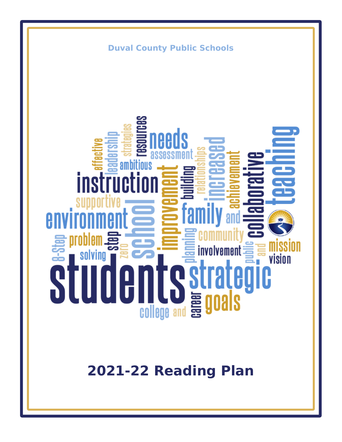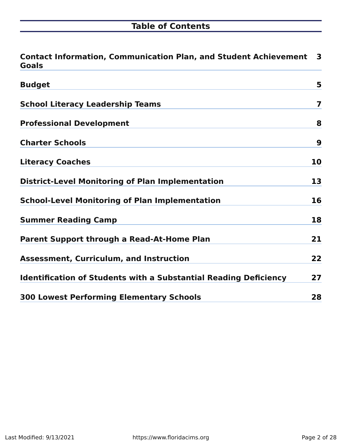# **Table of Contents**

| <b>Contact Information, Communication Plan, and Student Achievement</b><br><b>Goals</b> | 3  |
|-----------------------------------------------------------------------------------------|----|
| <b>Budget</b>                                                                           | 5  |
| <b>School Literacy Leadership Teams</b>                                                 | 7  |
| <b>Professional Development</b>                                                         | 8  |
| <b>Charter Schools</b>                                                                  | 9  |
| <b>Literacy Coaches</b>                                                                 | 10 |
| <b>District-Level Monitoring of Plan Implementation</b>                                 | 13 |
| <b>School-Level Monitoring of Plan Implementation</b>                                   | 16 |
| <b>Summer Reading Camp</b>                                                              | 18 |
| <b>Parent Support through a Read-At-Home Plan</b>                                       | 21 |
| <b>Assessment, Curriculum, and Instruction</b>                                          | 22 |
| <b>Identification of Students with a Substantial Reading Deficiency</b>                 | 27 |
| <b>300 Lowest Performing Elementary Schools</b>                                         | 28 |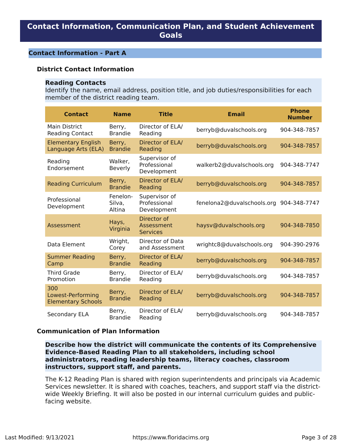## <span id="page-2-0"></span>**Contact Information, Communication Plan, and Student Achievement Goals**

#### **Contact Information - Part A**

#### **District Contact Information**

#### **Reading Contacts**

Identify the name, email address, position title, and job duties/responsibilities for each member of the district reading team.

| <b>Contact</b>                                        | <b>Name</b>                  | <b>Title</b>                                 | <b>Email</b>               | <b>Phone</b><br><b>Number</b> |
|-------------------------------------------------------|------------------------------|----------------------------------------------|----------------------------|-------------------------------|
| <b>Main District</b><br><b>Reading Contact</b>        | Berry,<br><b>Brandie</b>     | Director of ELA/<br>Reading                  | berryb@duvalschools.org    | 904-348-7857                  |
| <b>Elementary English</b><br>Language Arts (ELA)      | Berry,<br><b>Brandie</b>     | Director of ELA/<br>Reading                  | berryb@duvalschools.org    | 904-348-7857                  |
| Reading<br>Endorsement                                | Walker,<br>Beverly           | Supervisor of<br>Professional<br>Development | walkerb2@duvalschools.org  | 904-348-7747                  |
| <b>Reading Curriculum</b>                             | Berry,<br><b>Brandie</b>     | Director of ELA/<br>Reading                  | berryb@duvalschools.org    | 904-348-7857                  |
| Professional<br>Development                           | Fenelon-<br>Silva,<br>Altina | Supervisor of<br>Professional<br>Development | fenelona2@duvalschools.org | 904-348-7747                  |
| Assessment                                            | Hays,<br>Virginia            | Director of<br>Assessment<br><b>Services</b> | haysv@duvalschools.org     | 904-348-7850                  |
| Data Element                                          | Wright,<br>Corey             | Director of Data<br>and Assessment           | wrightc8@duvalschools.org  | 904-390-2976                  |
| <b>Summer Reading</b><br>Camp                         | Berry,<br><b>Brandie</b>     | Director of ELA/<br>Reading                  | berryb@duvalschools.org    | 904-348-7857                  |
| Third Grade<br>Promotion                              | Berry,<br><b>Brandie</b>     | Director of ELA/<br>Reading                  | berryb@duvalschools.org    | 904-348-7857                  |
| 300<br>Lowest-Performing<br><b>Elementary Schools</b> | Berry,<br><b>Brandie</b>     | Director of ELA/<br>Reading                  | berryb@duvalschools.org    | 904-348-7857                  |
| Secondary ELA                                         | Berry,<br><b>Brandie</b>     | Director of ELA/<br>Reading                  | berryb@duvalschools.org    | 904-348-7857                  |

### **Communication of Plan Information**

**Describe how the district will communicate the contents of its Comprehensive Evidence‐Based Reading Plan to all stakeholders, including school administrators, reading leadership teams, literacy coaches, classroom instructors, support staff, and parents.**

The K-12 Reading Plan is shared with region superintendents and principals via Academic Services newsletter. It is shared with coaches, teachers, and support staff via the districtwide Weekly Briefing. It will also be posted in our internal curriculum guides and publicfacing website.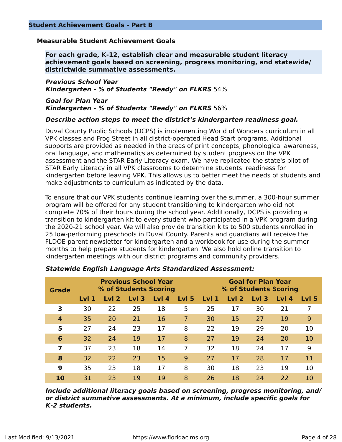## **Measurable Student Achievement Goals**

**For each grade, K‐12, establish clear and measurable student literacy achievement goals based on screening, progress monitoring, and statewide/ districtwide summative assessments.**

**Previous School Year Kindergarten - % of Students "Ready" on FLKRS** 54%

**Goal for Plan Year Kindergarten - % of Students "Ready" on FLKRS** 56%

#### **Describe action steps to meet the district's kindergarten readiness goal.**

Duval County Public Schools (DCPS) is implementing World of Wonders curriculum in all VPK classes and Frog Street in all district-operated Head Start programs. Additional supports are provided as needed in the areas of print concepts, phonological awareness, oral language, and mathematics as determined by student progress on the VPK assessment and the STAR Early Literacy exam. We have replicated the state's pilot of STAR Early Literacy in all VPK classrooms to determine students' readiness for kindergarten before leaving VPK. This allows us to better meet the needs of students and make adjustments to curriculum as indicated by the data.

To ensure that our VPK students continue learning over the summer, a 300-hour summer program will be offered for any student transitioning to kindergarten who did not complete 70% of their hours during the school year. Additionally, DCPS is providing a transition to kindergarten kit to every student who participated in a VPK program during the 2020-21 school year. We will also provide transition kits to 500 students enrolled in 25 low-performing preschools in Duval County. Parents and guardians will receive the FLDOE parent newsletter for kindergarten and a workbook for use during the summer months to help prepare students for kindergarten. We also hold online transition to kindergarten meetings with our district programs and community providers.

| <b>Grade</b>     | <b>Previous School Year</b><br>% of Students Scoring |                  |                  |       |                  | <b>Goal for Plan Year</b><br>% of Students Scoring |                  |                  |       |       |
|------------------|------------------------------------------------------|------------------|------------------|-------|------------------|----------------------------------------------------|------------------|------------------|-------|-------|
|                  | Lvl <sub>1</sub>                                     | Lvl <sub>2</sub> | Lvl <sub>3</sub> | Lvl 4 | Lvl <sub>5</sub> | Lvl <sub>1</sub>                                   | Lvl <sub>2</sub> | Lvl <sub>3</sub> | LvI 4 | LvI 5 |
| 3                | 30                                                   | 22               | 25               | 18    | 5                | 25                                                 | 17               | 30               | 21    |       |
| $\boldsymbol{4}$ | 35                                                   | 20               | 21               | 16    | 7                | 30                                                 | 15               | 27               | 19    | 9     |
| 5                | 27                                                   | 24               | 23               | 17    | 8                | 22                                                 | 19               | 29               | 20    | 10    |
| 6                | 32                                                   | 24               | 19               | 17    | 8                | 27                                                 | 19               | 24               | 20    | 10    |
| 7                | 37                                                   | 23               | 18               | 14    |                  | 32                                                 | 18               | 24               | 17    | 9     |
| 8                | 32                                                   | 22               | 23               | 15    | 9                | 27                                                 | 17               | 28               | 17    | 11    |
| 9                | 35                                                   | 23               | 18               | 17    | 8                | 30                                                 | 18               | 23               | 19    | 10    |
| 10               | 31                                                   | 23               | 19               | 19    | 8                | 26                                                 | 18               | 24               | 22    | 10    |

#### **Statewide English Language Arts Standardized Assessment:**

**Include additional literacy goals based on screening, progress monitoring, and/ or district summative assessments. At a minimum, include specific goals for K‐2 students.**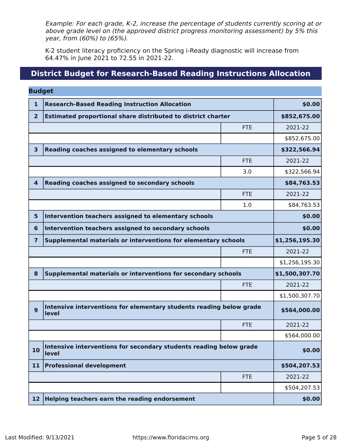Example: For each grade, K‐2, increase the percentage of students currently scoring at or above grade level on (the approved district progress monitoring assessment) by 5% this year, from (60%) to (65%).

K-2 student literacy proficiency on the Spring i-Ready diagnostic will increase from 64.47% in June 2021 to 72.55 in 2021-22.

## **District Budget for Research-Based Reading Instructions Allocation**

<span id="page-4-0"></span>

| <b>Budget</b>  |                                                                     |            |                |  |  |
|----------------|---------------------------------------------------------------------|------------|----------------|--|--|
| 1              | <b>Research-Based Reading Instruction Allocation</b>                |            |                |  |  |
| $\overline{2}$ | <b>Estimated proportional share distributed to district charter</b> |            |                |  |  |
|                |                                                                     | <b>FTE</b> | 2021-22        |  |  |
|                |                                                                     |            | \$852,675.00   |  |  |
| 3              | Reading coaches assigned to elementary schools                      |            | \$322,566.94   |  |  |
|                |                                                                     | <b>FTE</b> | 2021-22        |  |  |
|                |                                                                     | 3.0        | \$322,566.94   |  |  |
| 4              | Reading coaches assigned to secondary schools                       |            | \$84,763.53    |  |  |
|                |                                                                     | <b>FTE</b> | 2021-22        |  |  |
|                |                                                                     | 1.0        | \$84,763.53    |  |  |
| 5              | Intervention teachers assigned to elementary schools                |            | \$0.00         |  |  |
| 6              | \$0.00                                                              |            |                |  |  |
| 7              | Supplemental materials or interventions for elementary schools      |            | \$1,256,195.30 |  |  |
|                |                                                                     | <b>FTE</b> | 2021-22        |  |  |
|                |                                                                     |            | \$1,256,195.30 |  |  |
| 8              | Supplemental materials or interventions for secondary schools       |            | \$1,500,307.70 |  |  |
|                |                                                                     | <b>FTE</b> | 2021-22        |  |  |
|                |                                                                     |            | \$1,500,307.70 |  |  |
| 9              | \$564,000.00                                                        |            |                |  |  |
|                |                                                                     | <b>FTE</b> | 2021-22        |  |  |
|                |                                                                     |            | \$564,000.00   |  |  |
| 10             | \$0.00                                                              |            |                |  |  |
| 11             | <b>Professional development</b>                                     |            |                |  |  |
|                |                                                                     | <b>FTE</b> | 2021-22        |  |  |
|                |                                                                     |            | \$504,207.53   |  |  |
| 12             | Helping teachers earn the reading endorsement                       |            |                |  |  |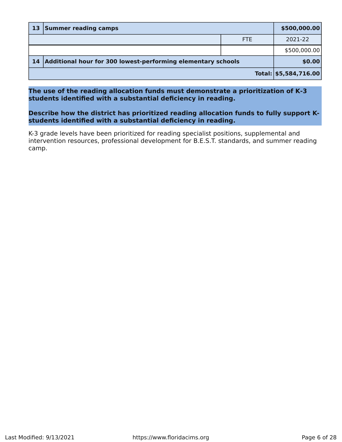|    | 13 Summer reading camps                                      |            |                       |  |
|----|--------------------------------------------------------------|------------|-----------------------|--|
|    |                                                              | <b>FTE</b> | 2021-22               |  |
|    |                                                              |            | \$500,000.00          |  |
| 14 | Additional hour for 300 lowest-performing elementary schools |            |                       |  |
|    |                                                              |            | Total: \$5,584,716.00 |  |

**The use of the reading allocation funds must demonstrate a prioritization of K‐3 students identified with a substantial deficiency in reading.**

**Describe how the district has prioritized reading allocation funds to fully support Kstudents identified with a substantial deficiency in reading.**

K-3 grade levels have been prioritized for reading specialist positions, supplemental and intervention resources, professional development for B.E.S.T. standards, and summer reading camp.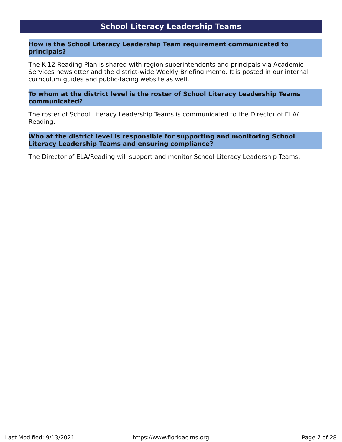## **School Literacy Leadership Teams**

#### <span id="page-6-0"></span>**How is the School Literacy Leadership Team requirement communicated to principals?**

The K-12 Reading Plan is shared with region superintendents and principals via Academic Services newsletter and the district-wide Weekly Briefing memo. It is posted in our internal curriculum guides and public-facing website as well.

#### **To whom at the district level is the roster of School Literacy Leadership Teams communicated?**

The roster of School Literacy Leadership Teams is communicated to the Director of ELA/ Reading.

### **Who at the district level is responsible for supporting and monitoring School Literacy Leadership Teams and ensuring compliance?**

The Director of ELA/Reading will support and monitor School Literacy Leadership Teams.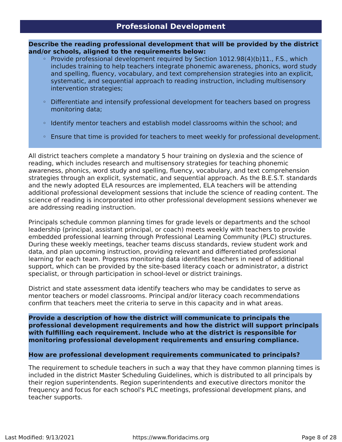<span id="page-7-0"></span>**Describe the reading professional development that will be provided by the district and/or schools, aligned to the requirements below:**

- Provide professional development required by Section 1012.98(4)(b)11., F.S., which includes training to help teachers integrate phonemic awareness, phonics, word study and spelling, fluency, vocabulary, and text comprehension strategies into an explicit, systematic, and sequential approach to reading instruction, including multisensory intervention strategies;
- Differentiate and intensify professional development for teachers based on progress monitoring data;
- Identify mentor teachers and establish model classrooms within the school; and
- Ensure that time is provided for teachers to meet weekly for professional development.

All district teachers complete a mandatory 5 hour training on dyslexia and the science of reading, which includes research and multisensory strategies for teaching phonemic awareness, phonics, word study and spelling, fluency, vocabulary, and text comprehension strategies through an explicit, systematic, and sequential approach. As the B.E.S.T. standards and the newly adopted ELA resources are implemented, ELA teachers will be attending additional professional development sessions that include the science of reading content. The science of reading is incorporated into other professional development sessions whenever we are addressing reading instruction.

Principals schedule common planning times for grade levels or departments and the school leadership (principal, assistant principal, or coach) meets weekly with teachers to provide embedded professional learning through Professional Learning Community (PLC) structures. During these weekly meetings, teacher teams discuss standards, review student work and data, and plan upcoming instruction, providing relevant and differentiated professional learning for each team. Progress monitoring data identifies teachers in need of additional support, which can be provided by the site-based literacy coach or administrator, a district specialist, or through participation in school-level or district trainings.

District and state assessment data identify teachers who may be candidates to serve as mentor teachers or model classrooms. Principal and/or literacy coach recommendations confirm that teachers meet the criteria to serve in this capacity and in what areas.

**Provide a description of how the district will communicate to principals the professional development requirements and how the district will support principals with fulfilling each requirement. Include who at the district is responsible for monitoring professional development requirements and ensuring compliance.**

## **How are professional development requirements communicated to principals?**

The requirement to schedule teachers in such a way that they have common planning times is included in the district Master Scheduling Guidelines, which is distributed to all principals by their region superintendents. Region superintendents and executive directors monitor the frequency and focus for each school's PLC meetings, professional development plans, and teacher supports.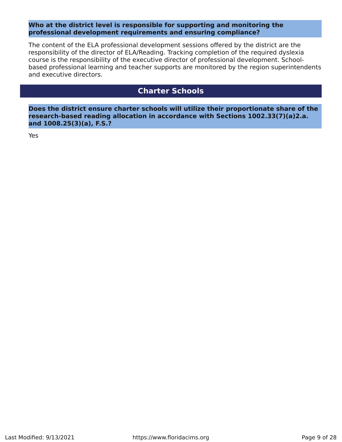### **Who at the district level is responsible for supporting and monitoring the professional development requirements and ensuring compliance?**

The content of the ELA professional development sessions offered by the district are the responsibility of the director of ELA/Reading. Tracking completion of the required dyslexia course is the responsibility of the executive director of professional development. Schoolbased professional learning and teacher supports are monitored by the region superintendents and executive directors.

## **Charter Schools**

<span id="page-8-0"></span>**Does the district ensure charter schools will utilize their proportionate share of the research‐based reading allocation in accordance with Sections 1002.33(7)(a)2.a. and 1008.25(3)(a), F.S.?**

Yes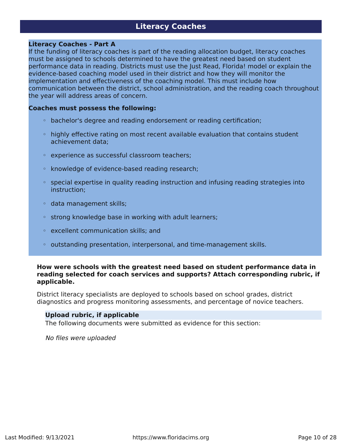## **Literacy Coaches**

#### <span id="page-9-0"></span>**Literacy Coaches - Part A**

If the funding of literacy coaches is part of the reading allocation budget, literacy coaches must be assigned to schools determined to have the greatest need based on student performance data in reading. Districts must use the Just Read, Florida! model or explain the evidence‐based coaching model used in their district and how they will monitor the implementation and effectiveness of the coaching model. This must include how communication between the district, school administration, and the reading coach throughout the year will address areas of concern.

#### **Coaches must possess the following:**

- bachelor's degree and reading endorsement or reading certification;
- highly effective rating on most recent available evaluation that contains student achievement data;
- experience as successful classroom teachers;
- knowledge of evidence‐based reading research;
- special expertise in quality reading instruction and infusing reading strategies into instruction;
- data management skills;
- strong knowledge base in working with adult learners;
- excellent communication skills; and
- outstanding presentation, interpersonal, and time‐management skills.

#### **How were schools with the greatest need based on student performance data in reading selected for coach services and supports? Attach corresponding rubric, if applicable.**

District literacy specialists are deployed to schools based on school grades, district diagnostics and progress monitoring assessments, and percentage of novice teachers.

#### **Upload rubric, if applicable**

The following documents were submitted as evidence for this section:

No files were uploaded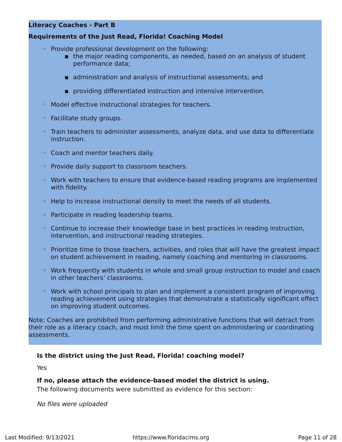## **Literacy Coaches - Part B**

## **Requirements of the Just Read, Florida! Coaching Model**

- Provide professional development on the following:
	- **Example 1** the major reading components, as needed, based on an analysis of student performance data;
	- **E** administration and analysis of instructional assessments; and
	- **EX providing differentiated instruction and intensive intervention.**
- Model effective instructional strategies for teachers.
- Facilitate study groups.
- Train teachers to administer assessments, analyze data, and use data to differentiate instruction.
- Coach and mentor teachers daily.
- Provide daily support to classroom teachers.
- Work with teachers to ensure that evidence‐based reading programs are implemented with fidelity.
- Help to increase instructional density to meet the needs of all students.
- Participate in reading leadership teams.
- Continue to increase their knowledge base in best practices in reading instruction, intervention, and instructional reading strategies.
- Prioritize time to those teachers, activities, and roles that will have the greatest impact on student achievement in reading, namely coaching and mentoring in classrooms.
- Work frequently with students in whole and small group instruction to model and coach in other teachers' classrooms.
- Work with school principals to plan and implement a consistent program of improving reading achievement using strategies that demonstrate a statistically significant effect on improving student outcomes.

Note: Coaches are prohibited from performing administrative functions that will detract from their role as a literacy coach, and must limit the time spent on administering or coordinating assessments.

#### **Is the district using the Just Read, Florida! coaching model?**

Yes

#### **If no, please attach the evidence‐based model the district is using.**

The following documents were submitted as evidence for this section:

No files were uploaded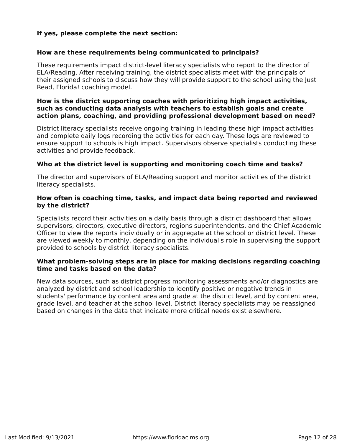## **If yes, please complete the next section:**

## **How are these requirements being communicated to principals?**

These requirements impact district-level literacy specialists who report to the director of ELA/Reading. After receiving training, the district specialists meet with the principals of their assigned schools to discuss how they will provide support to the school using the Just Read, Florida! coaching model.

## **How is the district supporting coaches with prioritizing high impact activities, such as conducting data analysis with teachers to establish goals and create action plans, coaching, and providing professional development based on need?**

District literacy specialists receive ongoing training in leading these high impact activities and complete daily logs recording the activities for each day. These logs are reviewed to ensure support to schools is high impact. Supervisors observe specialists conducting these activities and provide feedback.

## **Who at the district level is supporting and monitoring coach time and tasks?**

The director and supervisors of ELA/Reading support and monitor activities of the district literacy specialists.

### **How often is coaching time, tasks, and impact data being reported and reviewed by the district?**

Specialists record their activities on a daily basis through a district dashboard that allows supervisors, directors, executive directors, regions superintendents, and the Chief Academic Officer to view the reports individually or in aggregate at the school or district level. These are viewed weekly to monthly, depending on the individual's role in supervising the support provided to schools by district literacy specialists.

#### **What problem-solving steps are in place for making decisions regarding coaching time and tasks based on the data?**

New data sources, such as district progress monitoring assessments and/or diagnostics are analyzed by district and school leadership to identify positive or negative trends in students' performance by content area and grade at the district level, and by content area, grade level, and teacher at the school level. District literacy specialists may be reassigned based on changes in the data that indicate more critical needs exist elsewhere.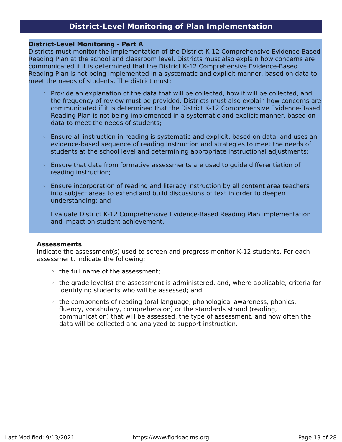## **District‐Level Monitoring of Plan Implementation**

#### <span id="page-12-0"></span>**District-Level Monitoring - Part A**

Districts must monitor the implementation of the District K‐12 Comprehensive Evidence‐Based Reading Plan at the school and classroom level. Districts must also explain how concerns are communicated if it is determined that the District K‐12 Comprehensive Evidence‐Based Reading Plan is not being implemented in a systematic and explicit manner, based on data to meet the needs of students. The district must:

- Provide an explanation of the data that will be collected, how it will be collected, and the frequency of review must be provided. Districts must also explain how concerns are communicated if it is determined that the District K‐12 Comprehensive Evidence‐Based Reading Plan is not being implemented in a systematic and explicit manner, based on data to meet the needs of students;
- Ensure all instruction in reading is systematic and explicit, based on data, and uses an evidence‐based sequence of reading instruction and strategies to meet the needs of students at the school level and determining appropriate instructional adjustments;
- Ensure that data from formative assessments are used to guide differentiation of reading instruction;
- Ensure incorporation of reading and literacy instruction by all content area teachers into subject areas to extend and build discussions of text in order to deepen understanding; and
- Evaluate District K‐12 Comprehensive Evidence‐Based Reading Plan implementation and impact on student achievement.

#### **Assessments**

Indicate the assessment(s) used to screen and progress monitor K‐12 students. For each assessment, indicate the following:

- the full name of the assessment;
- the grade level(s) the assessment is administered, and, where applicable, criteria for identifying students who will be assessed; and
- the components of reading (oral language, phonological awareness, phonics, fluency, vocabulary, comprehension) or the standards strand (reading, communication) that will be assessed, the type of assessment, and how often the data will be collected and analyzed to support instruction.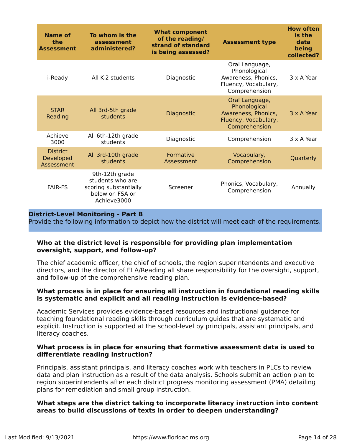| Name of<br>the<br><b>Assessment</b>        | To whom is the<br>assessment<br>administered?                                                 | <b>What component</b><br>of the reading/<br>strand of standard<br>is being assessed? | <b>Assessment type</b>                                                                         | <b>How often</b><br>is the<br>data<br>being<br>collected? |
|--------------------------------------------|-----------------------------------------------------------------------------------------------|--------------------------------------------------------------------------------------|------------------------------------------------------------------------------------------------|-----------------------------------------------------------|
| i-Ready                                    | All K-2 students                                                                              | Diagnostic                                                                           | Oral Language,<br>Phonological<br>Awareness, Phonics,<br>Fluency, Vocabulary,<br>Comprehension | 3 x A Year                                                |
| <b>STAR</b><br>Reading                     | All 3rd-5th grade<br>students                                                                 | Diagnostic                                                                           | Oral Language,<br>Phonological<br>Awareness, Phonics,<br>Fluency, Vocabulary,<br>Comprehension | 3 x A Year                                                |
| Achieve<br>3000                            | All 6th-12th grade<br>students                                                                | Diagnostic                                                                           | Comprehension                                                                                  | 3 x A Year                                                |
| <b>District</b><br>Developed<br>Assessment | All 3rd-10th grade<br>students                                                                | Formative<br>Assessment                                                              | Vocabulary,<br>Comprehension                                                                   | Quarterly                                                 |
| <b>FAIR-FS</b>                             | 9th-12th grade<br>students who are<br>scoring substantially<br>below on FSA or<br>Achieve3000 | Screener                                                                             | Phonics, Vocabulary,<br>Comprehension                                                          | Annually                                                  |

#### **District-Level Monitoring - Part B**

Provide the following information to depict how the district will meet each of the requirements.

## **Who at the district level is responsible for providing plan implementation oversight, support, and follow-up?**

The chief academic officer, the chief of schools, the region superintendents and executive directors, and the director of ELA/Reading all share responsibility for the oversight, support, and follow-up of the comprehensive reading plan.

#### **What process is in place for ensuring all instruction in foundational reading skills is systematic and explicit and all reading instruction is evidence-based?**

Academic Services provides evidence-based resources and instructional guidance for teaching foundational reading skills through curriculum guides that are systematic and explicit. Instruction is supported at the school-level by principals, assistant principals, and literacy coaches.

#### **What process is in place for ensuring that formative assessment data is used to differentiate reading instruction?**

Principals, assistant principals, and literacy coaches work with teachers in PLCs to review data and plan instruction as a result of the data analysis. Schools submit an action plan to region superintendents after each district progress monitoring assessment (PMA) detailing plans for remediation and small group instruction.

## **What steps are the district taking to incorporate literacy instruction into content areas to build discussions of texts in order to deepen understanding?**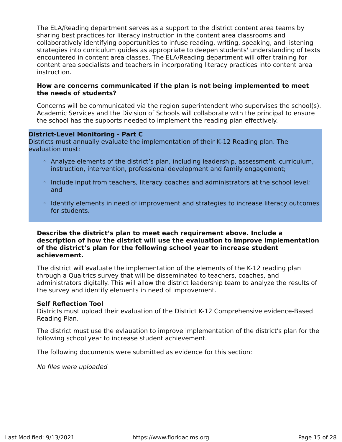The ELA/Reading department serves as a support to the district content area teams by sharing best practices for literacy instruction in the content area classrooms and collaboratively identifying opportunities to infuse reading, writing, speaking, and listening strategies into curriculum guides as appropriate to deepen students' understanding of texts encountered in content area classes. The ELA/Reading department will offer training for content area specialists and teachers in incorporating literacy practices into content area instruction.

#### **How are concerns communicated if the plan is not being implemented to meet the needs of students?**

Concerns will be communicated via the region superintendent who supervises the school(s). Academic Services and the Division of Schools will collaborate with the principal to ensure the school has the supports needed to implement the reading plan effectively.

#### **District-Level Monitoring - Part C**

Districts must annually evaluate the implementation of their K‐12 Reading plan. The evaluation must:

- Analyze elements of the district's plan, including leadership, assessment, curriculum, instruction, intervention, professional development and family engagement;
- Include input from teachers, literacy coaches and administrators at the school level; and
- Identify elements in need of improvement and strategies to increase literacy outcomes for students.

#### **Describe the district's plan to meet each requirement above. Include a description of how the district will use the evaluation to improve implementation of the district's plan for the following school year to increase student achievement.**

The district will evaluate the implementation of the elements of the K-12 reading plan through a Qualtrics survey that will be disseminated to teachers, coaches, and administrators digitally. This will allow the district leadership team to analyze the results of the survey and identify elements in need of improvement.

#### **Self Reflection Tool**

Districts must upload their evaluation of the District K-12 Comprehensive evidence-Based Reading Plan.

The district must use the evlauation to improve implementation of the district's plan for the following school year to increase student achievement.

The following documents were submitted as evidence for this section:

No files were uploaded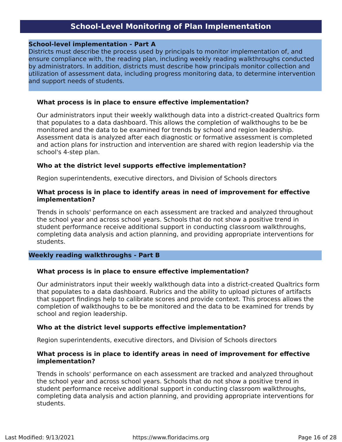## **School‐Level Monitoring of Plan Implementation**

### <span id="page-15-0"></span>**School‐level implementation - Part A**

Districts must describe the process used by principals to monitor implementation of, and ensure compliance with, the reading plan, including weekly reading walkthroughs conducted by administrators. In addition, districts must describe how principals monitor collection and utilization of assessment data, including progress monitoring data, to determine intervention and support needs of students.

#### **What process is in place to ensure effective implementation?**

Our administrators input their weekly walkthough data into a district-created Qualtrics form that populates to a data dashboard. This allows the completion of walkthoughs to be be monitored and the data to be examined for trends by school and region leadership. Assessment data is analyzed after each diagnostic or formative assessment is completed and action plans for instruction and intervention are shared with region leadership via the school's 4-step plan.

#### **Who at the district level supports effective implementation?**

Region superintendents, executive directors, and Division of Schools directors

#### **What process is in place to identify areas in need of improvement for effective implementation?**

Trends in schools' performance on each assessment are tracked and analyzed throughout the school year and across school years. Schools that do not show a positive trend in student performance receive additional support in conducting classroom walkthroughs, completing data analysis and action planning, and providing appropriate interventions for students.

#### **Weekly reading walkthroughs - Part B**

#### **What process is in place to ensure effective implementation?**

Our administrators input their weekly walkthough data into a district-created Qualtrics form that populates to a data dashboard. Rubrics and the ability to upload pictures of artifacts that support findings help to calibrate scores and provide context. This process allows the completion of walkthoughs to be be monitored and the data to be examined for trends by school and region leadership.

#### **Who at the district level supports effective implementation?**

Region superintendents, executive directors, and Division of Schools directors

#### **What process is in place to identify areas in need of improvement for effective implementation?**

Trends in schools' performance on each assessment are tracked and analyzed throughout the school year and across school years. Schools that do not show a positive trend in student performance receive additional support in conducting classroom walkthroughs, completing data analysis and action planning, and providing appropriate interventions for students.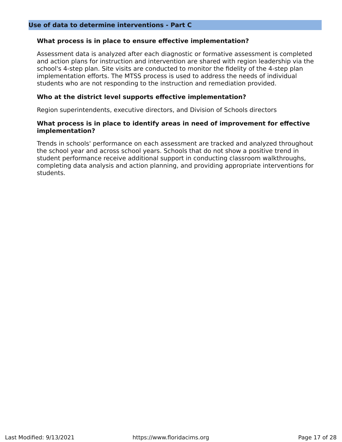#### **What process is in place to ensure effective implementation?**

Assessment data is analyzed after each diagnostic or formative assessment is completed and action plans for instruction and intervention are shared with region leadership via the school's 4-step plan. Site visits are conducted to monitor the fidelity of the 4-step plan implementation efforts. The MTSS process is used to address the needs of individual students who are not responding to the instruction and remediation provided.

#### **Who at the district level supports effective implementation?**

Region superintendents, executive directors, and Division of Schools directors

#### **What process is in place to identify areas in need of improvement for effective implementation?**

Trends in schools' performance on each assessment are tracked and analyzed throughout the school year and across school years. Schools that do not show a positive trend in student performance receive additional support in conducting classroom walkthroughs, completing data analysis and action planning, and providing appropriate interventions for students.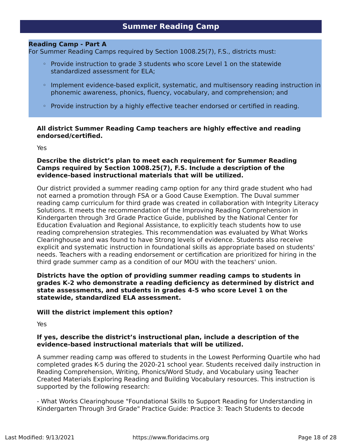## **Summer Reading Camp**

### <span id="page-17-0"></span>**Reading Camp - Part A**

For Summer Reading Camps required by Section 1008.25(7), F.S., districts must:

- Provide instruction to grade 3 students who score Level 1 on the statewide standardized assessment for ELA;
- Implement evidence‐based explicit, systematic, and multisensory reading instruction in phonemic awareness, phonics, fluency, vocabulary, and comprehension; and
- Provide instruction by a highly effective teacher endorsed or certified in reading.

#### **All district Summer Reading Camp teachers are highly effective and reading endorsed/certified.**

Yes

#### **Describe the district's plan to meet each requirement for Summer Reading Camps required by Section 1008.25(7), F.S. Include a description of the evidence‐based instructional materials that will be utilized.**

Our district provided a summer reading camp option for any third grade student who had not earned a promotion through FSA or a Good Cause Exemption. The Duval summer reading camp curriculum for third grade was created in collaboration with Integrity Literacy Solutions. It meets the recommendation of the Improving Reading Comprehension in Kindergarten through 3rd Grade Practice Guide, published by the National Center for Education Evaluation and Regional Assistance, to explicitly teach students how to use reading comprehension strategies. This recommendation was evaluated by What Works Clearinghouse and was found to have Strong levels of evidence. Students also receive explicit and systematic instruction in foundational skills as appropriate based on students' needs. Teachers with a reading endorsement or certification are prioritized for hiring in the third grade summer camp as a condition of our MOU with the teachers' union.

## **Districts have the option of providing summer reading camps to students in grades K‐2 who demonstrate a reading deficiency as determined by district and state assessments, and students in grades 4‐5 who score Level 1 on the statewide, standardized ELA assessment.**

#### **Will the district implement this option?**

Yes

#### **If yes, describe the district's instructional plan, include a description of the evidence‐based instructional materials that will be utilized.**

A summer reading camp was offered to students in the Lowest Performing Quartile who had completed grades K-5 during the 2020-21 school year. Students received daily instruction in Reading Comprehension, Writing, Phonics/Word Study, and Vocabulary using Teacher Created Materials Exploring Reading and Building Vocabulary resources. This instruction is supported by the following research:

- What Works Clearinghouse "Foundational Skills to Support Reading for Understanding in Kindergarten Through 3rd Grade" Practice Guide: Practice 3: Teach Students to decode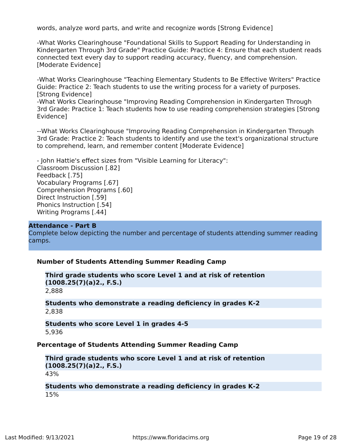words, analyze word parts, and write and recognize words [Strong Evidence]

-What Works Clearinghouse "Foundational Skills to Support Reading for Understanding in Kindergarten Through 3rd Grade" Practice Guide: Practice 4: Ensure that each student reads connected text every day to support reading accuracy, fluency, and comprehension. [Moderate Evidence]

-What Works Clearinghouse "Teaching Elementary Students to Be Effective Writers" Practice Guide: Practice 2: Teach students to use the writing process for a variety of purposes. [Strong Evidence]

-What Works Clearinghouse "Improving Reading Comprehension in Kindergarten Through 3rd Grade: Practice 1: Teach students how to use reading comprehension strategies [Strong Evidence]

--What Works Clearinghouse "Improving Reading Comprehension in Kindergarten Through 3rd Grade: Practice 2: Teach students to identify and use the text's organizational structure to comprehend, learn, and remember content [Moderate Evidence]

- John Hattie's effect sizes from "Visible Learning for Literacy": Classroom Discussion [.82] Feedback [.75] Vocabulary Programs [.67] Comprehension Programs [.60] Direct Instruction [.59] Phonics Instruction [.54] Writing Programs [.44]

#### **Attendance - Part B**

Complete below depicting the number and percentage of students attending summer reading camps.

#### **Number of Students Attending Summer Reading Camp**

```
Third grade students who score Level 1 and at risk of retention
(1008.25(7)(a)2., F.S.)
```
2,888

#### **Students who demonstrate a reading deficiency in grades K‐2** 2,838

**Students who score Level 1 in grades 4‐5** 5,936

#### **Percentage of Students Attending Summer Reading Camp**

```
Third grade students who score Level 1 and at risk of retention
(1008.25(7)(a)2., F.S.)
43%
```
#### **Students who demonstrate a reading deficiency in grades K‐2** 15%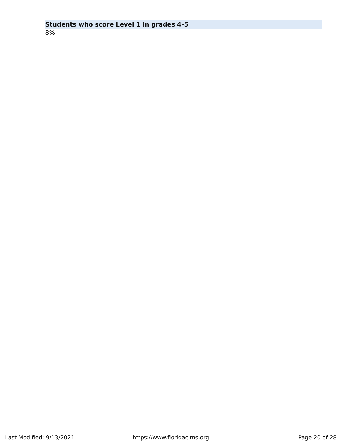## **Students who score Level 1 in grades 4‐5**

8%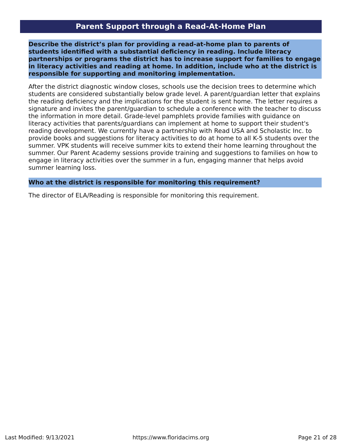## **Parent Support through a Read‐At‐Home Plan**

<span id="page-20-0"></span>**Describe the district's plan for providing a read‐at‐home plan to parents of students identified with a substantial deficiency in reading. Include literacy partnerships or programs the district has to increase support for families to engage in literacy activities and reading at home. In addition, include who at the district is responsible for supporting and monitoring implementation.**

After the district diagnostic window closes, schools use the decision trees to determine which students are considered substantially below grade level. A parent/guardian letter that explains the reading deficiency and the implications for the student is sent home. The letter requires a signature and invites the parent/guardian to schedule a conference with the teacher to discuss the information in more detail. Grade-level pamphlets provide families with guidance on literacy activities that parents/guardians can implement at home to support their student's reading development. We currently have a partnership with Read USA and Scholastic Inc. to provide books and suggestions for literacy activities to do at home to all K-5 students over the summer. VPK students will receive summer kits to extend their home learning throughout the summer. Our Parent Academy sessions provide training and suggestions to families on how to engage in literacy activities over the summer in a fun, engaging manner that helps avoid summer learning loss.

#### **Who at the district is responsible for monitoring this requirement?**

The director of ELA/Reading is responsible for monitoring this requirement.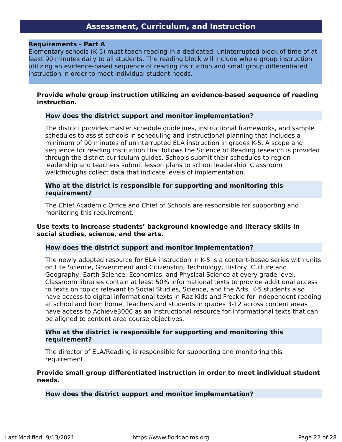## **Assessment, Curriculum, and Instruction**

#### <span id="page-21-0"></span>**Requirements - Part A**

Elementary schools (K‐5) must teach reading in a dedicated, uninterrupted block of time of at least 90 minutes daily to all students. The reading block will include whole group instruction utilizing an evidence‐based sequence of reading instruction and small group differentiated instruction in order to meet individual student needs.

#### **Provide whole group instruction utilizing an evidence‐based sequence of reading instruction.**

#### **How does the district support and monitor implementation?**

The district provides master schedule guidelines, instructional frameworks, and sample schedules to assist schools in scheduling and instructional planning that includes a minimum of 90 minutes of uninterrupted ELA instruction in grades K-5. A scope and sequence for reading instruction that follows the Science of Reading research is provided through the district curriculum guides. Schools submit their schedules to region leadership and teachers submit lesson plans to school leadership. Classroom walkthroughs collect data that indicate levels of implementation.

#### **Who at the district is responsible for supporting and monitoring this requirement?**

The Chief Academic Office and Chief of Schools are responsible for supporting and monitoring this requirement.

## **Use texts to increase students' background knowledge and literacy skills in social studies, science, and the arts.**

#### **How does the district support and monitor implementation?**

The newly adopted resource for ELA instruction in K-5 is a content-based series with units on Life Science, Government and Citizenship, Technology, History, Culture and Geography, Earth Science, Economics, and Physical Science at every grade level. Classroom libraries contain at least 50% informational texts to provide additional access to texts on topics relevant to Social Studies, Science, and the Arts. K-5 students also have access to digital informational texts in Raz Kids and Freckle for independent reading at school and from home. Teachers and students in grades 3-12 across content areas have access to Achieve3000 as an instructional resource for informational texts that can be aligned to content area course objectives.

#### **Who at the district is responsible for supporting and monitoring this requirement?**

The director of ELA/Reading is responsible for supporting and monitoring this requirement.

#### **Provide small group differentiated instruction in order to meet individual student needs.**

**How does the district support and monitor implementation?**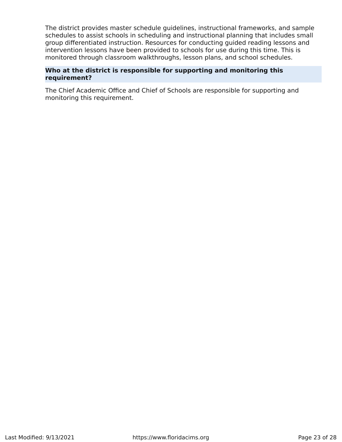The district provides master schedule guidelines, instructional frameworks, and sample schedules to assist schools in scheduling and instructional planning that includes small group differentiated instruction. Resources for conducting guided reading lessons and intervention lessons have been provided to schools for use during this time. This is monitored through classroom walkthroughs, lesson plans, and school schedules.

## **Who at the district is responsible for supporting and monitoring this requirement?**

The Chief Academic Office and Chief of Schools are responsible for supporting and monitoring this requirement.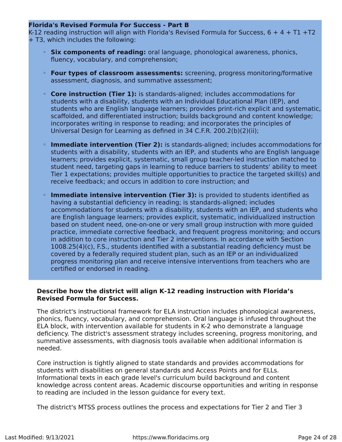## **Florida's Revised Formula For Success - Part B**

K-12 reading instruction will align with Florida's Revised Formula for Success, 6 + 4 + T1 +T2 + T3, which includes the following:

- **Six components of reading:** oral language, phonological awareness, phonics, fluency, vocabulary, and comprehension;
- **Four types of classroom assessments:** screening, progress monitoring/formative assessment, diagnosis, and summative assessment;
- **Core instruction (Tier 1):** is standards-aligned; includes accommodations for students with a disability, students with an Individual Educational Plan (IEP), and students who are English language learners; provides print-rich explicit and systematic, scaffolded, and differentiated instruction; builds background and content knowledge; incorporates writing in response to reading; and incorporates the principles of Universal Design for Learning as defined in 34 C.F.R. 200.2(b)(2)(ii);
- **Immediate intervention (Tier 2):** is standards-aligned; includes accommodations for students with a disability, students with an IEP, and students who are English language learners; provides explicit, systematic, small group teacher-led instruction matched to student need, targeting gaps in learning to reduce barriers to students' ability to meet Tier 1 expectations; provides multiple opportunities to practice the targeted skill(s) and receive feedback; and occurs in addition to core instruction; and
- **Immediate intensive intervention (Tier 3):** is provided to students identified as having a substantial deficiency in reading; is standards-aligned; includes accommodations for students with a disability, students with an IEP, and students who are English language learners; provides explicit, systematic, individualized instruction based on student need, one-on-one or very small group instruction with more guided practice, immediate corrective feedback, and frequent progress monitoring; and occurs in addition to core instruction and Tier 2 interventions. In accordance with Section 1008.25(4)(c), F.S., students identified with a substantial reading deficiency must be covered by a federally required student plan, such as an IEP or an individualized progress monitoring plan and receive intensive interventions from teachers who are certified or endorsed in reading.

## **Describe how the district will align K‐12 reading instruction with Florida's Revised Formula for Success.**

The district's instructional framework for ELA instruction includes phonological awareness, phonics, fluency, vocabulary, and comprehension. Oral language is infused throughout the ELA block, with intervention available for students in K-2 who demonstrate a language deficiency. The district's assessment strategy includes screening, progress monitoring, and summative assessments, with diagnosis tools available when additional information is needed.

Core instruction is tightly aligned to state standards and provides accommodations for students with disabilities on general standards and Access Points and for ELLs. Informational texts in each grade level's curriculum build background and content knowledge across content areas. Academic discourse opportunities and writing in response to reading are included in the lesson guidance for every text.

The district's MTSS process outlines the process and expectations for Tier 2 and Tier 3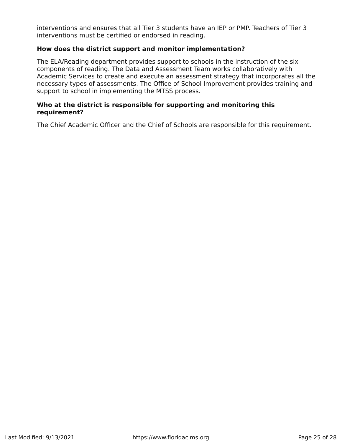interventions and ensures that all Tier 3 students have an IEP or PMP. Teachers of Tier 3 interventions must be certified or endorsed in reading.

## **How does the district support and monitor implementation?**

The ELA/Reading department provides support to schools in the instruction of the six components of reading. The Data and Assessment Team works collaboratively with Academic Services to create and execute an assessment strategy that incorporates all the necessary types of assessments. The Office of School Improvement provides training and support to school in implementing the MTSS process.

## **Who at the district is responsible for supporting and monitoring this requirement?**

The Chief Academic Officer and the Chief of Schools are responsible for this requirement.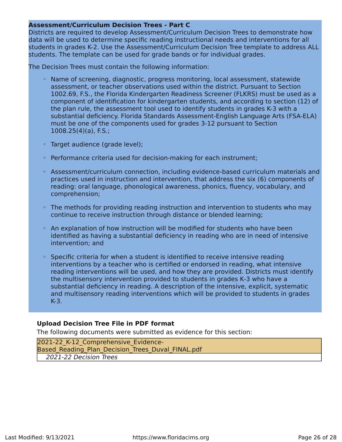## **Assessment/Curriculum Decision Trees - Part C**

Districts are required to develop Assessment/Curriculum Decision Trees to demonstrate how data will be used to determine specific reading instructional needs and interventions for all students in grades K-2. Use the Assessment/Curriculum Decision Tree template to address ALL students. The template can be used for grade bands or for individual grades.

The Decision Trees must contain the following information:

- Name of screening, diagnostic, progress monitoring, local assessment, statewide assessment, or teacher observations used within the district. Pursuant to Section 1002.69, F.S., the Florida Kindergarten Readiness Screener (FLKRS) must be used as a component of identification for kindergarten students, and according to section (12) of the plan rule, the assessment tool used to identify students in grades K-3 with a substantial deficiency. Florida Standards Assessment-English Language Arts (FSA-ELA) must be one of the components used for grades 3-12 pursuant to Section 1008.25(4)(a), F.S.;
- Target audience (grade level);
- Performance criteria used for decision‐making for each instrument;
- Assessment/curriculum connection, including evidence‐based curriculum materials and practices used in instruction and intervention, that address the six (6) components of reading: oral language, phonological awareness, phonics, fluency, vocabulary, and comprehension;
- The methods for providing reading instruction and intervention to students who may continue to receive instruction through distance or blended learning;
- An explanation of how instruction will be modified for students who have been identified as having a substantial deficiency in reading who are in need of intensive intervention; and
- Specific criteria for when a student is identified to receive intensive reading interventions by a teacher who is certified or endorsed in reading, what intensive reading interventions will be used, and how they are provided. Districts must identify the multisensory intervention provided to students in grades K‐3 who have a substantial deficiency in reading. A description of the intensive, explicit, systematic and multisensory reading interventions which will be provided to students in grades K-3.

## **Upload Decision Tree File in PDF format**

The following documents were submitted as evidence for this section:

2021-22 K-12 Comprehensive Evidence-Based Reading Plan Decision Trees Duval FINAL.pdf 2021-22 Decision Trees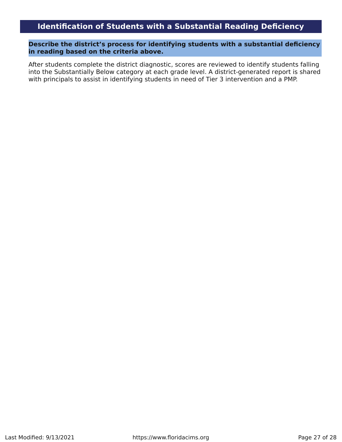## **Identification of Students with a Substantial Reading Deficiency**

<span id="page-26-0"></span>**Describe the district's process for identifying students with a substantial deficiency in reading based on the criteria above.**

After students complete the district diagnostic, scores are reviewed to identify students falling into the Substantially Below category at each grade level. A district-generated report is shared with principals to assist in identifying students in need of Tier 3 intervention and a PMP.